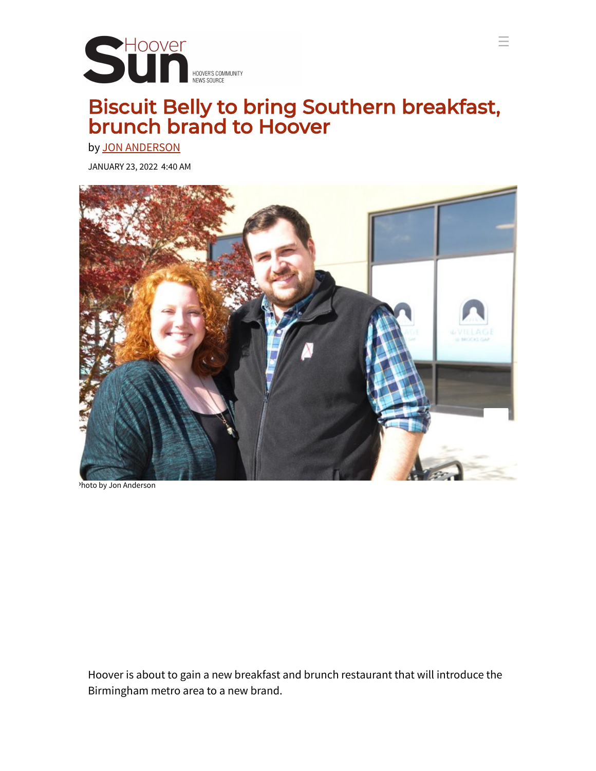

## <span id="page-0-0"></span>Biscuit Belly to bring Southern breakfast, brunch brand to Hoover

☰

by JON [ANDERSON](https://hooversun.com/topics/jon-anderson-3/)

JANUARY 23, 2022 4:40 AM



Photo by Jon Anderson

Hoover is about to gain a new breakfast and brunch restaurant that will introduce the Birmingham metro area to a new brand.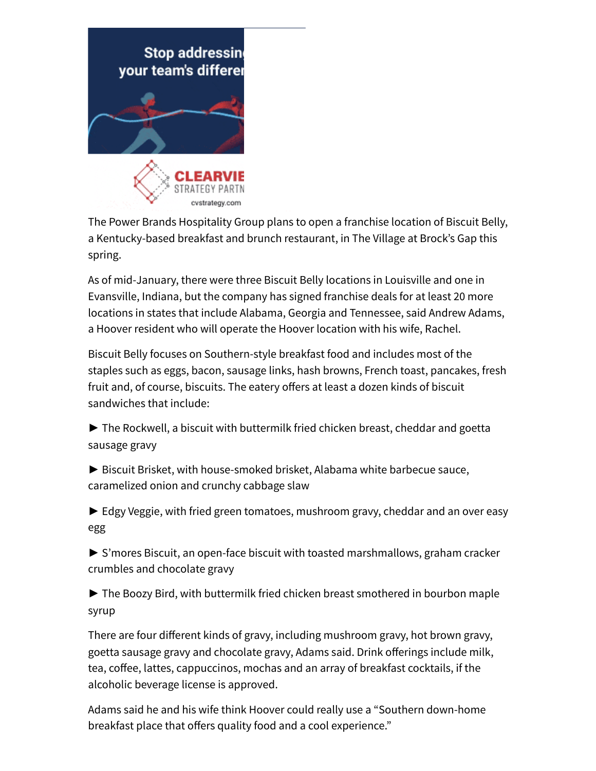

The Power Brands Hospitality Group plans to open a franchise location of Biscuit Belly, a Kentucky-based breakfast and brunch restaurant, in The Village at Brock's Gap this spring.

As of mid-January, there were three Biscuit Belly locations in Louisville and one in Evansville, Indiana, but the company has signed franchise deals for at least 20 more locations in states that include Alabama, Georgia and Tennessee, said Andrew Adams, a Hoover resident who will operate the Hoover location with his wife, Rachel.

Biscuit Belly focuses on Southern-style breakfast food and includes most of the staples such as eggs, bacon, sausage links, hash browns, French toast, pancakes, fresh fruit and, of course, biscuits. The eatery offers at least a dozen kinds of biscuit sandwiches that include:

► The Rockwell, a biscuit with buttermilk fried chicken breast, cheddar and goetta sausage gravy

► Biscuit Brisket, with house-smoked brisket, Alabama white barbecue sauce, caramelized onion and crunchy cabbage slaw

► Edgy Veggie, with fried green tomatoes, mushroom gravy, cheddar and an over easy egg

► S'mores Biscuit, an open-face biscuit with toasted marshmallows, graham cracker crumbles and chocolate gravy

► The Boozy Bird, with buttermilk fried chicken breast smothered in bourbon maple syrup

There are four different kinds of gravy, including mushroom gravy, hot brown gravy, goetta sausage gravy and chocolate gravy, Adams said. Drink offerings include milk, tea, coffee, lattes, cappuccinos, mochas and an array of breakfast cocktails, if the alcoholic beverage license is approved.

Adams said he and his wife think Hoover could really use a "Southern down-home breakfast place that offers quality food and a cool experience."